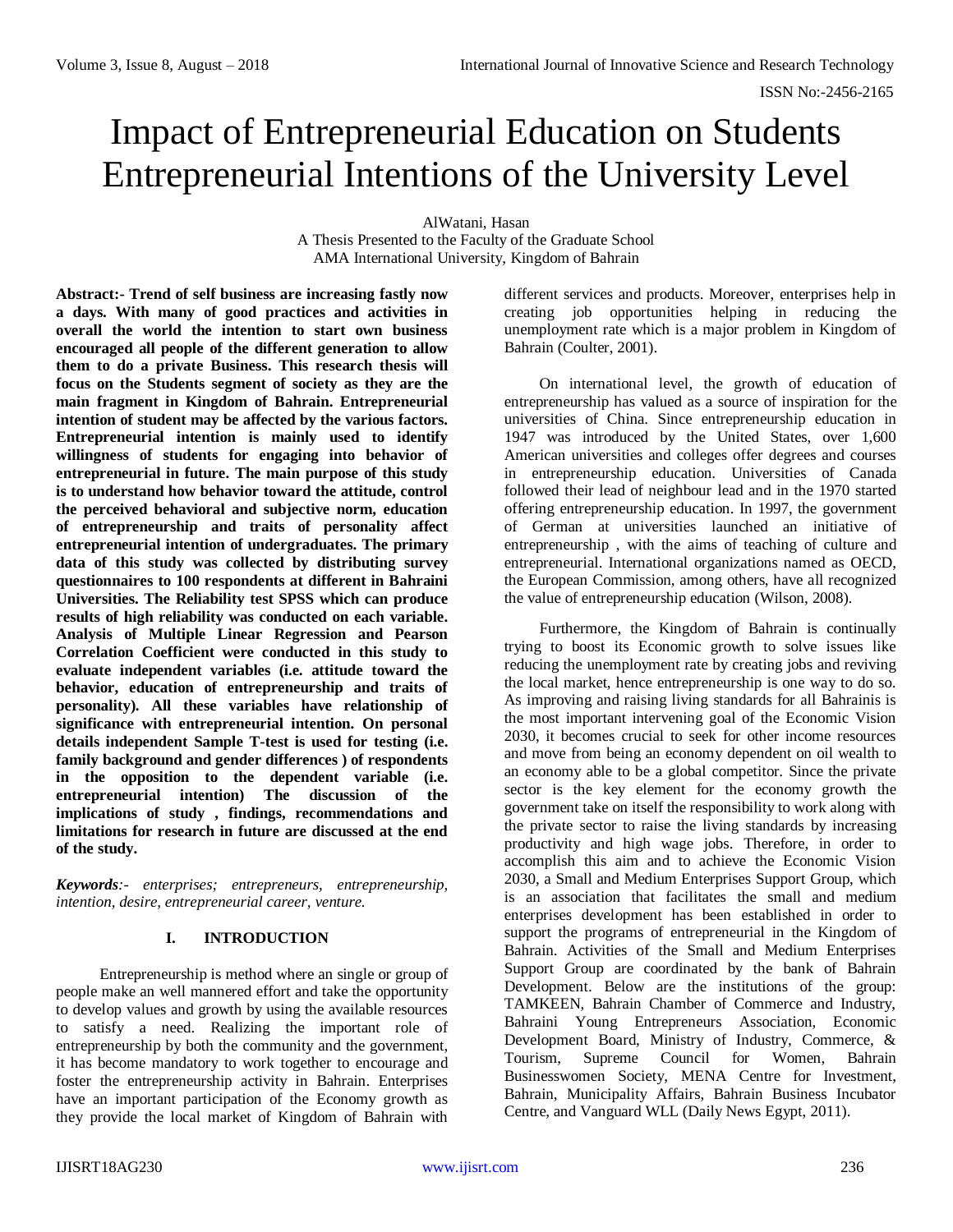# Impact of Entrepreneurial Education on Students Entrepreneurial Intentions of the University Level

AlWatani, Hasan A Thesis Presented to the Faculty of the Graduate School AMA International University, Kingdom of Bahrain

**Abstract:- Trend of self business are increasing fastly now a days. With many of good practices and activities in overall the world the intention to start own business encouraged all people of the different generation to allow them to do a private Business. This research thesis will focus on the Students segment of society as they are the main fragment in Kingdom of Bahrain. Entrepreneurial intention of student may be affected by the various factors. Entrepreneurial intention is mainly used to identify willingness of students for engaging into behavior of entrepreneurial in future. The main purpose of this study is to understand how behavior toward the attitude, control the perceived behavioral and subjective norm, education of entrepreneurship and traits of personality affect entrepreneurial intention of undergraduates. The primary data of this study was collected by distributing survey questionnaires to 100 respondents at different in Bahraini Universities. The Reliability test SPSS which can produce results of high reliability was conducted on each variable. Analysis of Multiple Linear Regression and Pearson Correlation Coefficient were conducted in this study to evaluate independent variables (i.e. attitude toward the behavior, education of entrepreneurship and traits of personality). All these variables have relationship of significance with entrepreneurial intention. On personal details independent Sample T-test is used for testing (i.e. family background and gender differences ) of respondents in the opposition to the dependent variable (i.e. entrepreneurial intention) The discussion of the implications of study , findings, recommendations and limitations for research in future are discussed at the end of the study.**

*Keywords:- enterprises; entrepreneurs, entrepreneurship, intention, desire, entrepreneurial career, venture.*

# **I. INTRODUCTION**

Entrepreneurship is method where an single or group of people make an well mannered effort and take the opportunity to develop values and growth by using the available resources to satisfy a need. Realizing the important role of entrepreneurship by both the community and the government, it has become mandatory to work together to encourage and foster the entrepreneurship activity in Bahrain. Enterprises have an important participation of the Economy growth as they provide the local market of Kingdom of Bahrain with

different services and products. Moreover, enterprises help in creating job opportunities helping in reducing the unemployment rate which is a major problem in Kingdom of Bahrain (Coulter, 2001).

On international level, the growth of education of entrepreneurship has valued as a source of inspiration for the universities of China. Since entrepreneurship education in 1947 was introduced by the United States, over 1,600 American universities and colleges offer degrees and courses in entrepreneurship education. Universities of Canada followed their lead of neighbour lead and in the 1970 started offering entrepreneurship education. In 1997, the government of German at universities launched an initiative of entrepreneurship , with the aims of teaching of culture and entrepreneurial. International organizations named as OECD, the European Commission, among others, have all recognized the value of entrepreneurship education (Wilson, 2008).

Furthermore, the Kingdom of Bahrain is continually trying to boost its Economic growth to solve issues like reducing the unemployment rate by creating jobs and reviving the local market, hence entrepreneurship is one way to do so. As improving and raising living standards for all Bahrainis is the most important intervening goal of the Economic Vision 2030, it becomes crucial to seek for other income resources and move from being an economy dependent on oil wealth to an economy able to be a global competitor. Since the private sector is the key element for the economy growth the government take on itself the responsibility to work along with the private sector to raise the living standards by increasing productivity and high wage jobs. Therefore, in order to accomplish this aim and to achieve the Economic Vision 2030, a Small and Medium Enterprises Support Group, which is an association that facilitates the small and medium enterprises development has been established in order to support the programs of entrepreneurial in the Kingdom of Bahrain. Activities of the Small and Medium Enterprises Support Group are coordinated by the bank of Bahrain Development. Below are the institutions of the group: TAMKEEN, Bahrain Chamber of Commerce and Industry, Bahraini Young Entrepreneurs Association, Economic Development Board, Ministry of Industry, Commerce, & Tourism, Supreme Council for Women, Bahrain Businesswomen Society, MENA Centre for Investment, Bahrain, Municipality Affairs, Bahrain Business Incubator Centre, and Vanguard WLL (Daily News Egypt, 2011).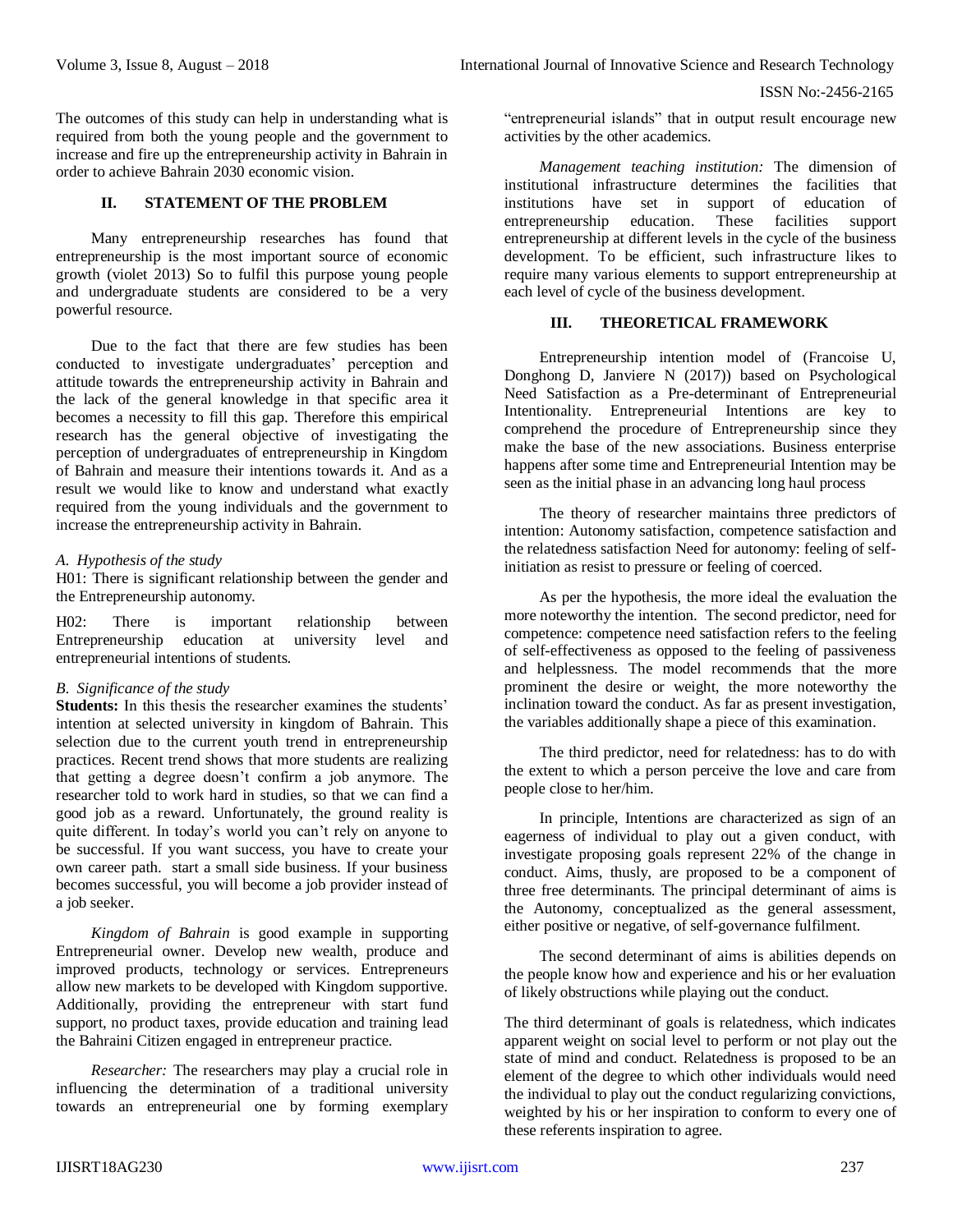The outcomes of this study can help in understanding what is required from both the young people and the government to increase and fire up the entrepreneurship activity in Bahrain in order to achieve Bahrain 2030 economic vision.

## **II. STATEMENT OF THE PROBLEM**

Many entrepreneurship researches has found that entrepreneurship is the most important source of economic growth (violet 2013) So to fulfil this purpose young people and undergraduate students are considered to be a very powerful resource.

Due to the fact that there are few studies has been conducted to investigate undergraduates' perception and attitude towards the entrepreneurship activity in Bahrain and the lack of the general knowledge in that specific area it becomes a necessity to fill this gap. Therefore this empirical research has the general objective of investigating the perception of undergraduates of entrepreneurship in Kingdom of Bahrain and measure their intentions towards it. And as a result we would like to know and understand what exactly required from the young individuals and the government to increase the entrepreneurship activity in Bahrain.

## *A. Hypothesis of the study*

H01: There is significant relationship between the gender and the Entrepreneurship autonomy.

H02: There is important relationship between Entrepreneurship education at university level and entrepreneurial intentions of students.

# *B. Significance of the study*

**Students:** In this thesis the researcher examines the students' intention at selected university in kingdom of Bahrain. This selection due to the current youth trend in entrepreneurship practices. Recent trend shows that more students are realizing that getting a degree doesn't confirm a job anymore. The researcher told to work hard in studies, so that we can find a good job as a reward. Unfortunately, the ground reality is quite different. In today's world you can't rely on anyone to be successful. If you want success, you have to create your own career path. start a small side business. If your business becomes successful, you will become a job provider instead of a job seeker.

*Kingdom of Bahrain* is good example in supporting Entrepreneurial owner. Develop new wealth, produce and improved products, technology or services. Entrepreneurs allow new markets to be developed with Kingdom supportive. Additionally, providing the entrepreneur with start fund support, no product taxes, provide education and training lead the Bahraini Citizen engaged in entrepreneur practice.

*Researcher:* The researchers may play a crucial role in influencing the determination of a traditional university towards an entrepreneurial one by forming exemplary "entrepreneurial islands" that in output result encourage new activities by the other academics.

*Management teaching institution:* The dimension of institutional infrastructure determines the facilities that institutions have set in support of education of entrepreneurship education. These facilities support entrepreneurship at different levels in the cycle of the business development. To be efficient, such infrastructure likes to require many various elements to support entrepreneurship at each level of cycle of the business development.

## **III. THEORETICAL FRAMEWORK**

Entrepreneurship intention model of (Francoise U, Donghong D, Janviere N (2017)) based on Psychological Need Satisfaction as a Pre-determinant of Entrepreneurial Intentionality. Entrepreneurial Intentions are key to comprehend the procedure of Entrepreneurship since they make the base of the new associations. Business enterprise happens after some time and Entrepreneurial Intention may be seen as the initial phase in an advancing long haul process

The theory of researcher maintains three predictors of intention: Autonomy satisfaction, competence satisfaction and the relatedness satisfaction Need for autonomy: feeling of selfinitiation as resist to pressure or feeling of coerced.

As per the hypothesis, the more ideal the evaluation the more noteworthy the intention. The second predictor, need for competence: competence need satisfaction refers to the feeling of self-effectiveness as opposed to the feeling of passiveness and helplessness. The model recommends that the more prominent the desire or weight, the more noteworthy the inclination toward the conduct. As far as present investigation, the variables additionally shape a piece of this examination.

The third predictor, need for relatedness: has to do with the extent to which a person perceive the love and care from people close to her/him.

In principle, Intentions are characterized as sign of an eagerness of individual to play out a given conduct, with investigate proposing goals represent 22% of the change in conduct. Aims, thusly, are proposed to be a component of three free determinants. The principal determinant of aims is the Autonomy, conceptualized as the general assessment, either positive or negative, of self-governance fulfilment.

The second determinant of aims is abilities depends on the people know how and experience and his or her evaluation of likely obstructions while playing out the conduct.

The third determinant of goals is relatedness, which indicates apparent weight on social level to perform or not play out the state of mind and conduct. Relatedness is proposed to be an element of the degree to which other individuals would need the individual to play out the conduct regularizing convictions, weighted by his or her inspiration to conform to every one of these referents inspiration to agree.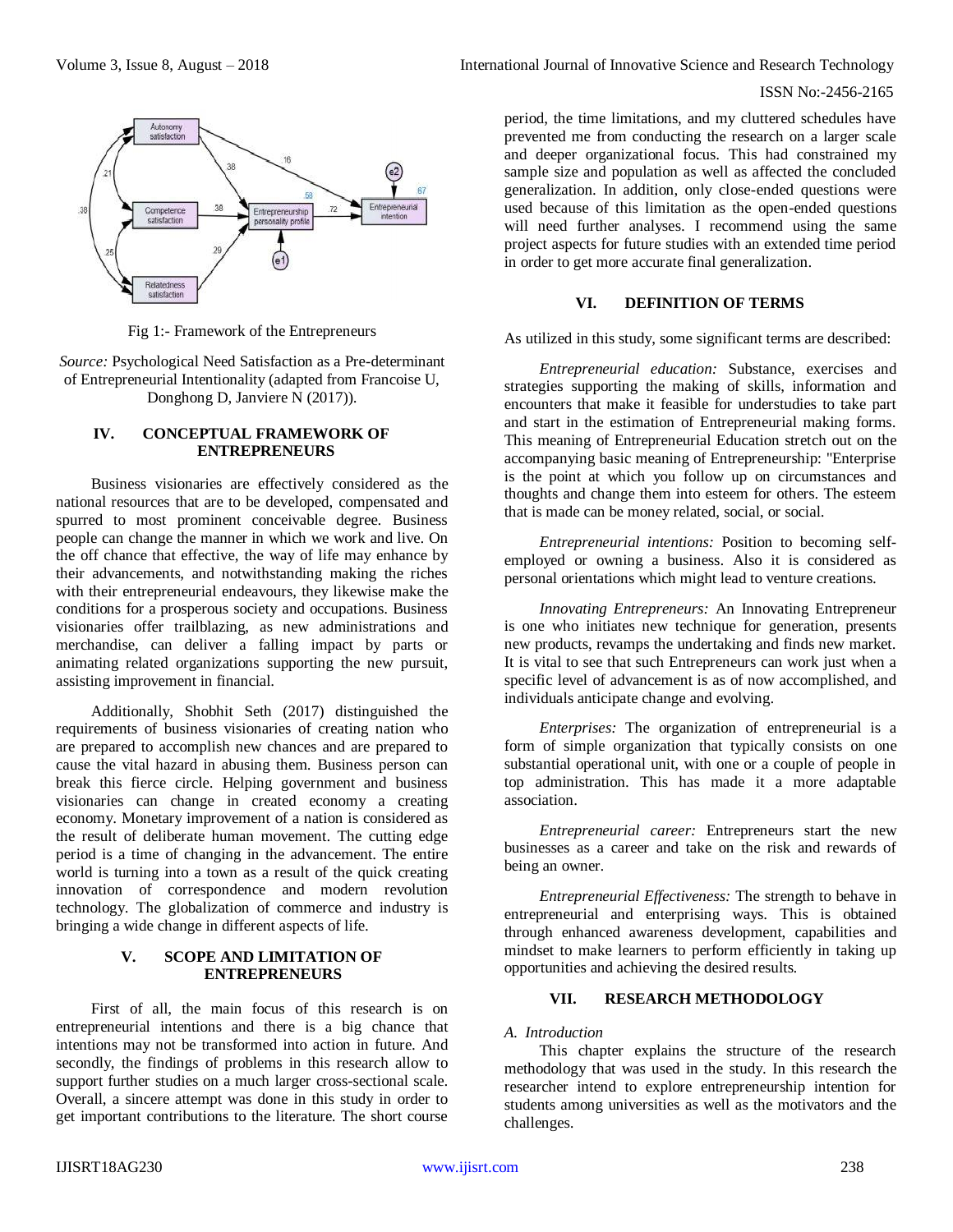

Fig 1:- Framework of the Entrepreneurs

*Source:* Psychological Need Satisfaction as a Pre-determinant of Entrepreneurial Intentionality (adapted from Francoise U, Donghong D, Janviere N (2017)).

#### **IV. CONCEPTUAL FRAMEWORK OF ENTREPRENEURS**

Business visionaries are effectively considered as the national resources that are to be developed, compensated and spurred to most prominent conceivable degree. Business people can change the manner in which we work and live. On the off chance that effective, the way of life may enhance by their advancements, and notwithstanding making the riches with their entrepreneurial endeavours, they likewise make the conditions for a prosperous society and occupations. Business visionaries offer trailblazing, as new administrations and merchandise, can deliver a falling impact by parts or animating related organizations supporting the new pursuit, assisting improvement in financial.

Additionally, Shobhit Seth (2017) distinguished the requirements of business visionaries of creating nation who are prepared to accomplish new chances and are prepared to cause the vital hazard in abusing them. Business person can break this fierce circle. Helping government and business visionaries can change in created economy a creating economy. Monetary improvement of a nation is considered as the result of deliberate human movement. The cutting edge period is a time of changing in the advancement. The entire world is turning into a town as a result of the quick creating innovation of correspondence and modern revolution technology. The globalization of commerce and industry is bringing a wide change in different aspects of life.

# **V. SCOPE AND LIMITATION OF ENTREPRENEURS**

First of all, the main focus of this research is on entrepreneurial intentions and there is a big chance that intentions may not be transformed into action in future. And secondly, the findings of problems in this research allow to support further studies on a much larger cross-sectional scale. Overall, a sincere attempt was done in this study in order to get important contributions to the literature. The short course

Volume 3, Issue 8, August – 2018 **International Journal of Innovative Science and Research Technology** 

# ISSN No:-2456-2165

period, the time limitations, and my cluttered schedules have prevented me from conducting the research on a larger scale and deeper organizational focus. This had constrained my sample size and population as well as affected the concluded generalization. In addition, only close-ended questions were used because of this limitation as the open-ended questions will need further analyses. I recommend using the same project aspects for future studies with an extended time period in order to get more accurate final generalization.

## **VI. DEFINITION OF TERMS**

As utilized in this study, some significant terms are described:

*Entrepreneurial education:* Substance, exercises and strategies supporting the making of skills, information and encounters that make it feasible for understudies to take part and start in the estimation of Entrepreneurial making forms. This meaning of Entrepreneurial Education stretch out on the accompanying basic meaning of Entrepreneurship: "Enterprise is the point at which you follow up on circumstances and thoughts and change them into esteem for others. The esteem that is made can be money related, social, or social.

*Entrepreneurial intentions:* Position to becoming selfemployed or owning a business. Also it is considered as personal orientations which might lead to venture creations.

*Innovating Entrepreneurs:* An Innovating Entrepreneur is one who initiates new technique for generation, presents new products, revamps the undertaking and finds new market. It is vital to see that such Entrepreneurs can work just when a specific level of advancement is as of now accomplished, and individuals anticipate change and evolving.

*Enterprises:* The organization of entrepreneurial is a form of simple organization that typically consists on one substantial operational unit, with one or a couple of people in top administration. This has made it a more adaptable association.

*Entrepreneurial career:* Entrepreneurs start the new businesses as a career and take on the risk and rewards of being an owner.

*Entrepreneurial Effectiveness:* The strength to behave in entrepreneurial and enterprising ways. This is obtained through enhanced awareness development, capabilities and mindset to make learners to perform efficiently in taking up opportunities and achieving the desired results.

# **VII. RESEARCH METHODOLOGY**

# *A. Introduction*

This chapter explains the structure of the research methodology that was used in the study. In this research the researcher intend to explore entrepreneurship intention for students among universities as well as the motivators and the challenges.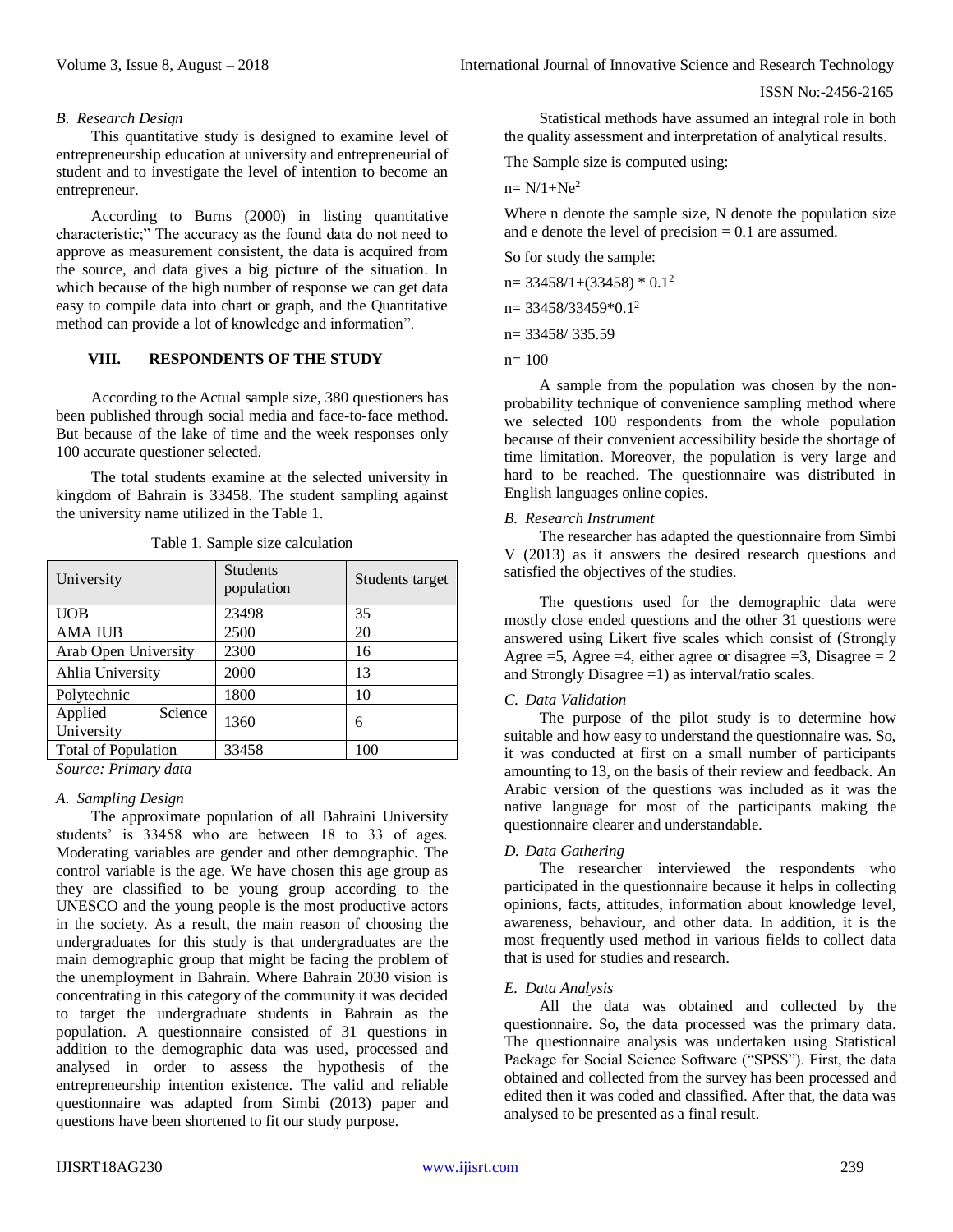#### *B. Research Design*

This quantitative study is designed to examine level of entrepreneurship education at university and entrepreneurial of student and to investigate the level of intention to become an entrepreneur.

According to Burns (2000) in listing quantitative characteristic;" The accuracy as the found data do not need to approve as measurement consistent, the data is acquired from the source, and data gives a big picture of the situation. In which because of the high number of response we can get data easy to compile data into chart or graph, and the Quantitative method can provide a lot of knowledge and information".

# **VIII. RESPONDENTS OF THE STUDY**

According to the Actual sample size, 380 questioners has been published through social media and face-to-face method. But because of the lake of time and the week responses only 100 accurate questioner selected.

The total students examine at the selected university in kingdom of Bahrain is 33458. The student sampling against the university name utilized in the Table 1.

| University                       | <b>Students</b><br>population | Students target |  |  |  |
|----------------------------------|-------------------------------|-----------------|--|--|--|
| <b>UOB</b>                       | 23498                         | 35              |  |  |  |
| <b>AMA IUB</b>                   | 2500                          | 20              |  |  |  |
| Arab Open University             | 2300                          | 16              |  |  |  |
| Ahlia University                 | 2000                          | 13              |  |  |  |
| Polytechnic                      | 1800                          | 10              |  |  |  |
| Science<br>Applied<br>University | 1360                          | 6               |  |  |  |
| <b>Total of Population</b>       | 33458                         | 100             |  |  |  |

Table 1. Sample size calculation

*Source: Primary data*

# *A. Sampling Design*

The approximate population of all Bahraini University students' is 33458 who are between 18 to 33 of ages. Moderating variables are gender and other demographic. The control variable is the age. We have chosen this age group as they are classified to be young group according to the UNESCO and the young people is the most productive actors in the society. As a result, the main reason of choosing the undergraduates for this study is that undergraduates are the main demographic group that might be facing the problem of the unemployment in Bahrain. Where Bahrain 2030 vision is concentrating in this category of the community it was decided to target the undergraduate students in Bahrain as the population. A questionnaire consisted of 31 questions in addition to the demographic data was used, processed and analysed in order to assess the hypothesis of the entrepreneurship intention existence. The valid and reliable questionnaire was adapted from Simbi (2013) paper and questions have been shortened to fit our study purpose.

Statistical methods have assumed an integral role in both the quality assessment and interpretation of analytical results.

The Sample size is computed using:

 $n = N/1 + Ne<sup>2</sup>$ 

Where n denote the sample size, N denote the population size and e denote the level of precision  $= 0.1$  are assumed.

So for study the sample:

 $n=$  33458/1+(33458)  $*$  0.1<sup>2</sup>

 $n= 33458/33459*0.1^2$ 

n= 33458/ 335.59

n= 100

A sample from the population was chosen by the nonprobability technique of convenience sampling method where we selected 100 respondents from the whole population because of their convenient accessibility beside the shortage of time limitation. Moreover, the population is very large and hard to be reached. The questionnaire was distributed in English languages online copies.

#### *B. Research Instrument*

The researcher has adapted the questionnaire from Simbi V (2013) as it answers the desired research questions and satisfied the objectives of the studies.

The questions used for the demographic data were mostly close ended questions and the other 31 questions were answered using Likert five scales which consist of (Strongly Agree  $=5$ , Agree  $=4$ , either agree or disagree  $=3$ , Disagree  $=2$ and Strongly Disagree =1) as interval/ratio scales.

#### *C. Data Validation*

The purpose of the pilot study is to determine how suitable and how easy to understand the questionnaire was. So, it was conducted at first on a small number of participants amounting to 13, on the basis of their review and feedback. An Arabic version of the questions was included as it was the native language for most of the participants making the questionnaire clearer and understandable.

#### *D. Data Gathering*

The researcher interviewed the respondents who participated in the questionnaire because it helps in collecting opinions, facts, attitudes, information about knowledge level, awareness, behaviour, and other data. In addition, it is the most frequently used method in various fields to collect data that is used for studies and research.

#### *E. Data Analysis*

All the data was obtained and collected by the questionnaire. So, the data processed was the primary data. The questionnaire analysis was undertaken using Statistical Package for Social Science Software ("SPSS"). First, the data obtained and collected from the survey has been processed and edited then it was coded and classified. After that, the data was analysed to be presented as a final result.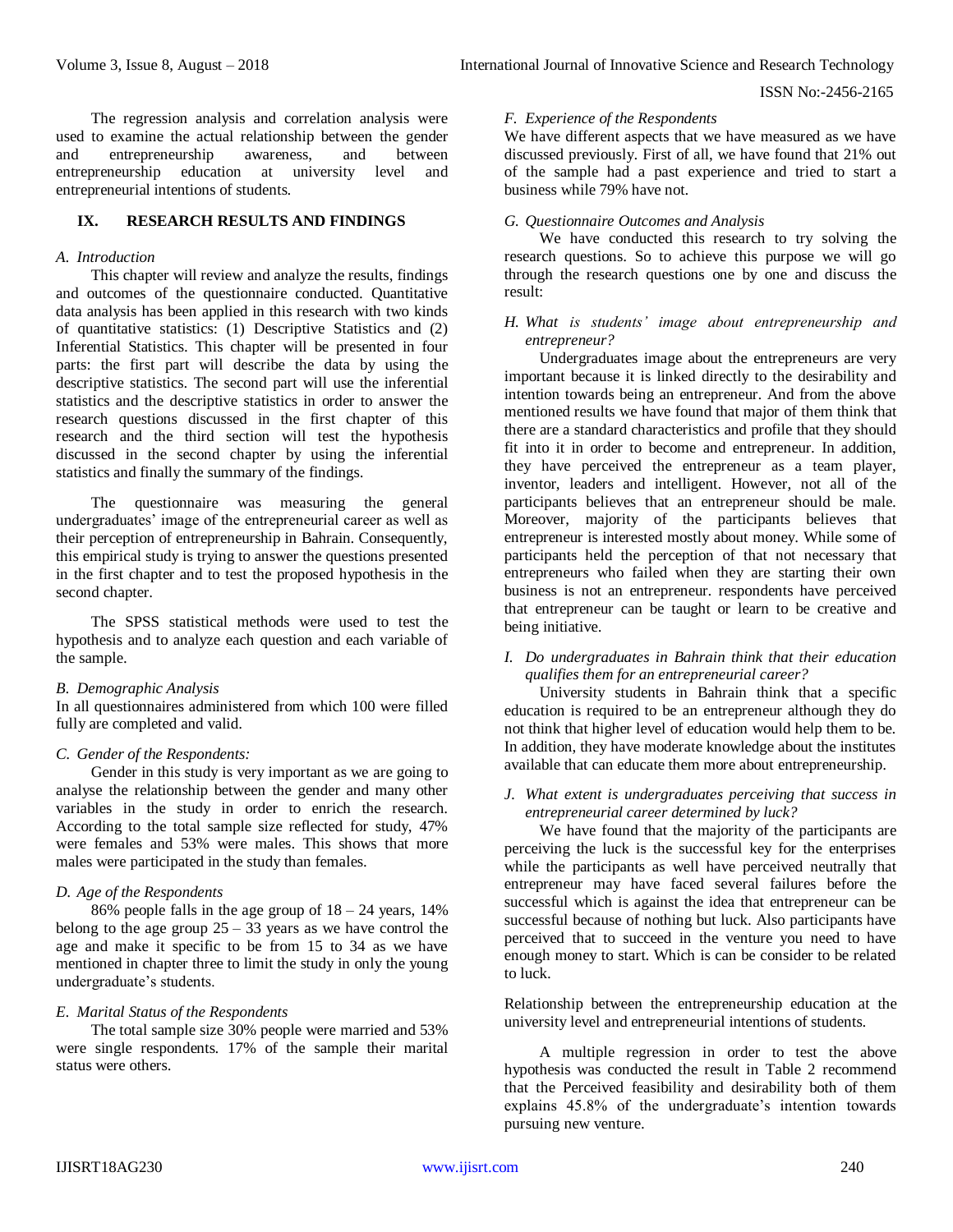The regression analysis and correlation analysis were used to examine the actual relationship between the gender and entrepreneurship awareness, and between entrepreneurship education at university level and entrepreneurial intentions of students.

## **IX. RESEARCH RESULTS AND FINDINGS**

#### *A. Introduction*

This chapter will review and analyze the results, findings and outcomes of the questionnaire conducted. Quantitative data analysis has been applied in this research with two kinds of quantitative statistics: (1) Descriptive Statistics and (2) Inferential Statistics. This chapter will be presented in four parts: the first part will describe the data by using the descriptive statistics. The second part will use the inferential statistics and the descriptive statistics in order to answer the research questions discussed in the first chapter of this research and the third section will test the hypothesis discussed in the second chapter by using the inferential statistics and finally the summary of the findings.

The questionnaire was measuring the general undergraduates' image of the entrepreneurial career as well as their perception of entrepreneurship in Bahrain. Consequently, this empirical study is trying to answer the questions presented in the first chapter and to test the proposed hypothesis in the second chapter.

The SPSS statistical methods were used to test the hypothesis and to analyze each question and each variable of the sample.

#### *B. Demographic Analysis*

In all questionnaires administered from which 100 were filled fully are completed and valid.

#### *C. Gender of the Respondents:*

Gender in this study is very important as we are going to analyse the relationship between the gender and many other variables in the study in order to enrich the research. According to the total sample size reflected for study, 47% were females and 53% were males. This shows that more males were participated in the study than females.

# *D. Age of the Respondents*

86% people falls in the age group of  $18 - 24$  years,  $14\%$ belong to the age group  $25 - 33$  years as we have control the age and make it specific to be from 15 to 34 as we have mentioned in chapter three to limit the study in only the young undergraduate's students.

# *E. Marital Status of the Respondents*

The total sample size 30% people were married and 53% were single respondents. 17% of the sample their marital status were others.

#### *F. Experience of the Respondents*

We have different aspects that we have measured as we have discussed previously. First of all, we have found that 21% out of the sample had a past experience and tried to start a business while 79% have not.

## *G. Questionnaire Outcomes and Analysis*

We have conducted this research to try solving the research questions. So to achieve this purpose we will go through the research questions one by one and discuss the result:

## *H. What is students' image about entrepreneurship and entrepreneur?*

Undergraduates image about the entrepreneurs are very important because it is linked directly to the desirability and intention towards being an entrepreneur. And from the above mentioned results we have found that major of them think that there are a standard characteristics and profile that they should fit into it in order to become and entrepreneur. In addition, they have perceived the entrepreneur as a team player, inventor, leaders and intelligent. However, not all of the participants believes that an entrepreneur should be male. Moreover, majority of the participants believes that entrepreneur is interested mostly about money. While some of participants held the perception of that not necessary that entrepreneurs who failed when they are starting their own business is not an entrepreneur. respondents have perceived that entrepreneur can be taught or learn to be creative and being initiative.

## *I. Do undergraduates in Bahrain think that their education qualifies them for an entrepreneurial career?*

University students in Bahrain think that a specific education is required to be an entrepreneur although they do not think that higher level of education would help them to be. In addition, they have moderate knowledge about the institutes available that can educate them more about entrepreneurship.

## *J. What extent is undergraduates perceiving that success in entrepreneurial career determined by luck?*

We have found that the majority of the participants are perceiving the luck is the successful key for the enterprises while the participants as well have perceived neutrally that entrepreneur may have faced several failures before the successful which is against the idea that entrepreneur can be successful because of nothing but luck. Also participants have perceived that to succeed in the venture you need to have enough money to start. Which is can be consider to be related to luck.

Relationship between the entrepreneurship education at the university level and entrepreneurial intentions of students.

A multiple regression in order to test the above hypothesis was conducted the result in Table 2 recommend that the Perceived feasibility and desirability both of them explains 45.8% of the undergraduate's intention towards pursuing new venture.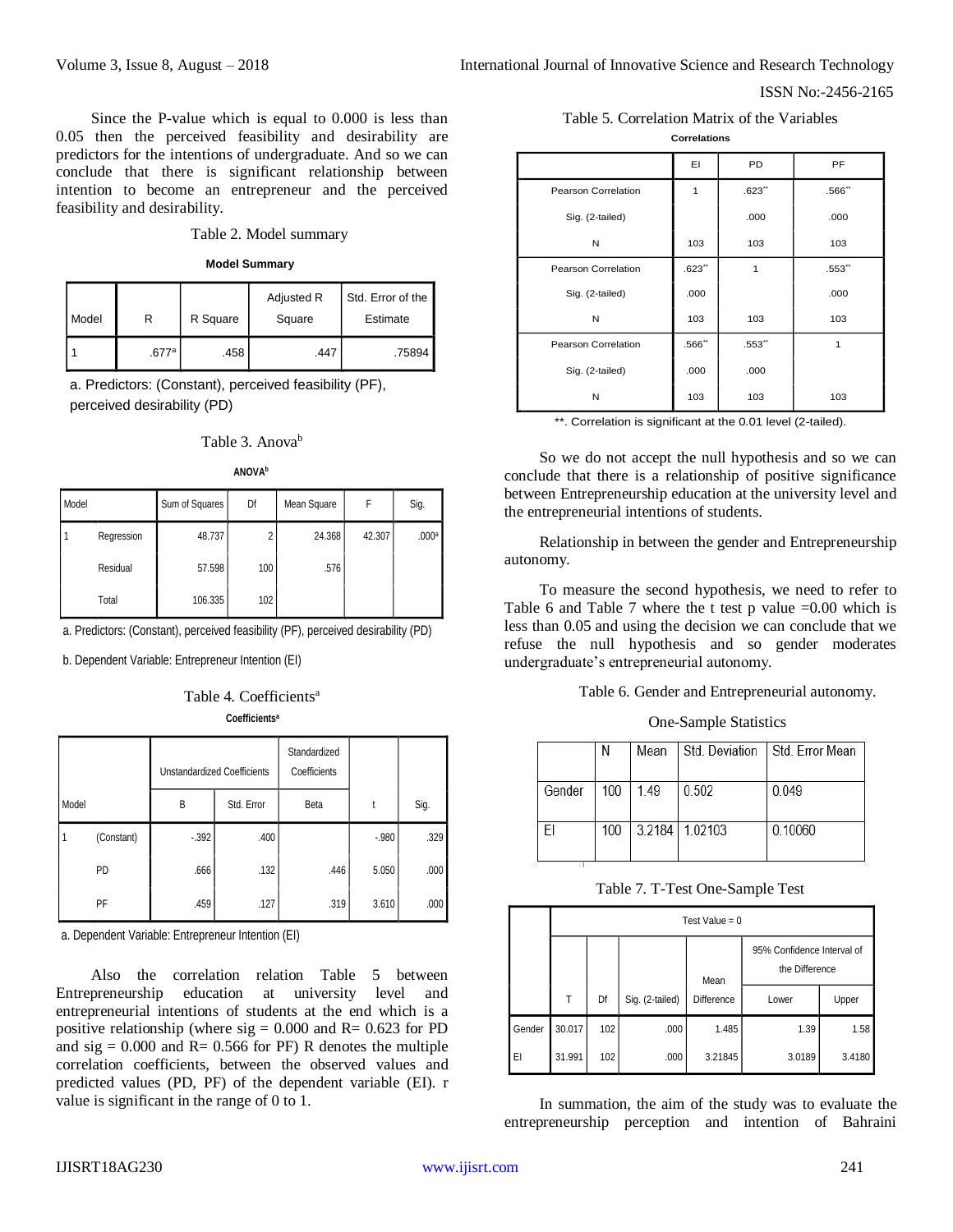Since the P-value which is equal to 0.000 is less than 0.05 then the perceived feasibility and desirability are predictors for the intentions of undergraduate. And so we can conclude that there is significant relationship between intention to become an entrepreneur and the perceived feasibility and desirability.

#### Table 2. Model summary

| Model Summary |
|---------------|

| Model |       | R Square | Adjusted R<br>Square | Std. Error of the<br>Estimate |  |
|-------|-------|----------|----------------------|-------------------------------|--|
|       | .677a | .458     | .447                 | .75894                        |  |

a. Predictors: (Constant), perceived feasibility (PF), perceived desirability (PD)

|  | Table 3. Anova <sup>b</sup> |
|--|-----------------------------|
|--|-----------------------------|

| N<br>١V<br>ır |
|---------------|
|---------------|

| Model |            | Sum of Squares | Df  | Mean Square | F      | Sig.              |
|-------|------------|----------------|-----|-------------|--------|-------------------|
| l 1   | Regression | 48.737         | 2   | 24.368      | 42.307 | .000 <sup>a</sup> |
|       | Residual   | 57.598         | 100 | .576        |        |                   |
|       | Total      | 106.335        | 102 |             |        |                   |

a. Predictors: (Constant), perceived feasibility (PF), perceived desirability (PD)

b. Dependent Variable: Entrepreneur Intention (EI)

| Table 4. Coefficients <sup>a</sup> |
|------------------------------------|
| Coefficients <sup>a</sup>          |

|       |            |        | <b>Unstandardized Coefficients</b> | Standardized<br>Coefficients |         |      |
|-------|------------|--------|------------------------------------|------------------------------|---------|------|
| Model |            | B      | Std. Error                         | Beta                         | t       | Sig. |
|       | (Constant) | $-392$ | .400                               |                              | $-.980$ | .329 |
|       | <b>PD</b>  | .666   | .132                               | .446                         | 5.050   | .000 |
|       | PF         | .459   | .127                               | .319                         | 3.610   | .000 |

a. Dependent Variable: Entrepreneur Intention (EI)

Also the correlation relation Table 5 between Entrepreneurship education at university level and entrepreneurial intentions of students at the end which is a positive relationship (where  $sig = 0.000$  and  $R = 0.623$  for PD and  $sig = 0.000$  and  $R = 0.566$  for PF) R denotes the multiple correlation coefficients, between the observed values and predicted values (PD, PF) of the dependent variable (EI). r value is significant in the range of 0 to 1.

Table 5. Correlation Matrix of the Variables **Correlations**

|                     | EI    | <b>PD</b> | PF    |
|---------------------|-------|-----------|-------|
| Pearson Correlation | 1     | .623"     | .566" |
| Sig. (2-tailed)     |       | .000      | .000  |
| N                   | 103   | 103       | 103   |
| Pearson Correlation | .623" | 1         | .553" |
| Sig. (2-tailed)     | .000  |           | .000  |
| N                   | 103   | 103       | 103   |
| Pearson Correlation | .566" | .553"     | 1     |
| Sig. (2-tailed)     | .000  | .000      |       |
| N                   | 103   | 103       | 103   |

|        | Ν   | Mean | Std. Deviation | Std. Error Mean |
|--------|-----|------|----------------|-----------------|
| Gender | 100 | 1.49 | 0.502          | 0.049           |
|        | 100 |      | 3.2184 1.02103 | 0.10060         |

Table 7. T-Test One-Sample Test

|                                                                           | Model Summary                                                |                                                     |                   |        |                                 |           | Pearson Correlation |                 |                                                              | .623                  | 1      |                                                                | .553"                                                                                                                   |  |
|---------------------------------------------------------------------------|--------------------------------------------------------------|-----------------------------------------------------|-------------------|--------|---------------------------------|-----------|---------------------|-----------------|--------------------------------------------------------------|-----------------------|--------|----------------------------------------------------------------|-------------------------------------------------------------------------------------------------------------------------|--|
|                                                                           |                                                              | Adjusted R                                          | Std. Error of the |        |                                 |           |                     | Sig. (2-tailed) |                                                              | .000                  |        |                                                                | .000                                                                                                                    |  |
|                                                                           | Square                                                       | Square                                              | Estimate          |        |                                 |           |                     | N               |                                                              | 103                   | 103    |                                                                | 103                                                                                                                     |  |
|                                                                           | .458                                                         | .447                                                |                   | .75894 |                                 |           | Pearson Correlation |                 |                                                              | .566"                 | .553"  |                                                                | 1                                                                                                                       |  |
|                                                                           |                                                              | nt), perceived feasibility (PF),                    |                   |        |                                 |           |                     | Sig. (2-tailed) |                                                              | .000                  | .000   |                                                                |                                                                                                                         |  |
|                                                                           | (PD)                                                         |                                                     |                   |        |                                 |           |                     | N               |                                                              | 103                   | 103    |                                                                | 103                                                                                                                     |  |
|                                                                           |                                                              |                                                     |                   |        |                                 |           |                     |                 | **. Correlation is significant at the 0.01 level (2-tailed). |                       |        |                                                                |                                                                                                                         |  |
|                                                                           | Table 3. Anova <sup>b</sup><br><b>ANOVA</b> b                |                                                     |                   |        |                                 |           |                     |                 |                                                              |                       |        |                                                                | So we do not accept the null hypothesis and so we can<br>conclude that there is a relationship of positive significance |  |
|                                                                           |                                                              |                                                     |                   |        |                                 |           |                     |                 |                                                              |                       |        | between Entrepreneurship education at the university level and |                                                                                                                         |  |
| ares                                                                      | Df                                                           | Mean Square                                         | F                 | Sig.   |                                 |           |                     |                 | the entrepreneurial intentions of students.                  |                       |        |                                                                |                                                                                                                         |  |
| .737                                                                      | $\overline{2}$                                               | 24.368                                              | 42.307            | .000a  |                                 | autonomy. |                     |                 |                                                              |                       |        |                                                                | Relationship in between the gender and Entrepreneurship                                                                 |  |
| .598                                                                      | 100                                                          | .576                                                |                   |        |                                 |           |                     |                 |                                                              |                       |        |                                                                | To measure the second hypothesis, we need to refer to                                                                   |  |
| .335                                                                      | 102                                                          |                                                     |                   |        |                                 |           |                     |                 |                                                              |                       |        |                                                                | Table 6 and Table 7 where the t test p value $=0.00$ which is                                                           |  |
|                                                                           |                                                              | eived feasibility (PF), perceived desirability (PD) |                   |        |                                 |           |                     |                 |                                                              |                       |        |                                                                | less than 0.05 and using the decision we can conclude that we                                                           |  |
|                                                                           | reneur Intention (EI)                                        |                                                     |                   |        |                                 |           |                     |                 | undergraduate's entrepreneurial autonomy.                    |                       |        |                                                                | refuse the null hypothesis and so gender moderates                                                                      |  |
|                                                                           |                                                              |                                                     |                   |        |                                 |           |                     |                 |                                                              |                       |        |                                                                | Table 6. Gender and Entrepreneurial autonomy.                                                                           |  |
|                                                                           | le 4. Coefficients <sup>a</sup><br>Coefficients <sup>a</sup> |                                                     |                   |        |                                 |           |                     |                 |                                                              |                       |        |                                                                |                                                                                                                         |  |
|                                                                           |                                                              |                                                     |                   |        |                                 |           |                     |                 |                                                              | One-Sample Statistics |        |                                                                |                                                                                                                         |  |
|                                                                           | zed Coefficients                                             | Standardized<br>Coefficients                        |                   |        |                                 |           |                     | N               | Mean                                                         | Std. Deviation        |        | Std. Error Mean                                                |                                                                                                                         |  |
|                                                                           | Std. Error                                                   | Beta                                                | t                 | Sig.   |                                 |           | Gender              | 100             | 1.49                                                         | 0.502                 |        | 0.049                                                          |                                                                                                                         |  |
| $\overline{c}$                                                            | .400                                                         |                                                     | $-.980$           | .329   |                                 | EI        |                     | 100             | 3.2184                                                       | 1.02103               |        | 0.10060                                                        |                                                                                                                         |  |
| 6                                                                         | .132                                                         | .446                                                | 5.050             | .000   |                                 |           |                     |                 |                                                              |                       |        |                                                                |                                                                                                                         |  |
| 9                                                                         | .127                                                         | .319                                                | 3.610             | .000   | Table 7. T-Test One-Sample Test |           |                     |                 |                                                              |                       |        |                                                                |                                                                                                                         |  |
|                                                                           |                                                              |                                                     |                   |        |                                 |           |                     |                 |                                                              | Test Value = $0$      |        |                                                                |                                                                                                                         |  |
|                                                                           | reneur Intention (EI)                                        |                                                     |                   |        |                                 |           |                     |                 |                                                              |                       |        | 95% Confidence Interval of<br>the Difference                   |                                                                                                                         |  |
| Table<br>lation<br>relation<br>5 between<br>university                    |                                                              |                                                     |                   |        |                                 |           |                     |                 | Mean                                                         |                       |        |                                                                |                                                                                                                         |  |
| cation<br>at<br>level<br>and<br>ns of students at the end which is a      |                                                              |                                                     |                   |        |                                 | Τ         | Df                  | Sig. (2-tailed) | Difference                                                   |                       | Lower  | Upper                                                          |                                                                                                                         |  |
| here $sig = 0.000$ and $R = 0.623$ for PD                                 |                                                              |                                                     |                   |        | Gender                          | 30.017    | 102                 | .000            |                                                              | 1.485                 | 1.39   | 1.58                                                           |                                                                                                                         |  |
| 0.566 for PF) R denotes the multiple<br>, between the observed values and |                                                              |                                                     |                   | EI     |                                 | 31.991    | 102                 | .000            | 3.21845                                                      |                       | 3.0189 | 3.4180                                                         |                                                                                                                         |  |
|                                                                           |                                                              | PF) of the dependent variable (EI). r               |                   |        |                                 |           |                     |                 |                                                              |                       |        |                                                                |                                                                                                                         |  |
|                                                                           | e range of 0 to 1.                                           |                                                     |                   |        |                                 |           |                     |                 |                                                              |                       |        |                                                                | In summation, the aim of the study was to evaluate the                                                                  |  |
|                                                                           |                                                              |                                                     |                   |        |                                 |           |                     |                 | entrepreneurship perception                                  |                       |        |                                                                | and intention of Bahraini                                                                                               |  |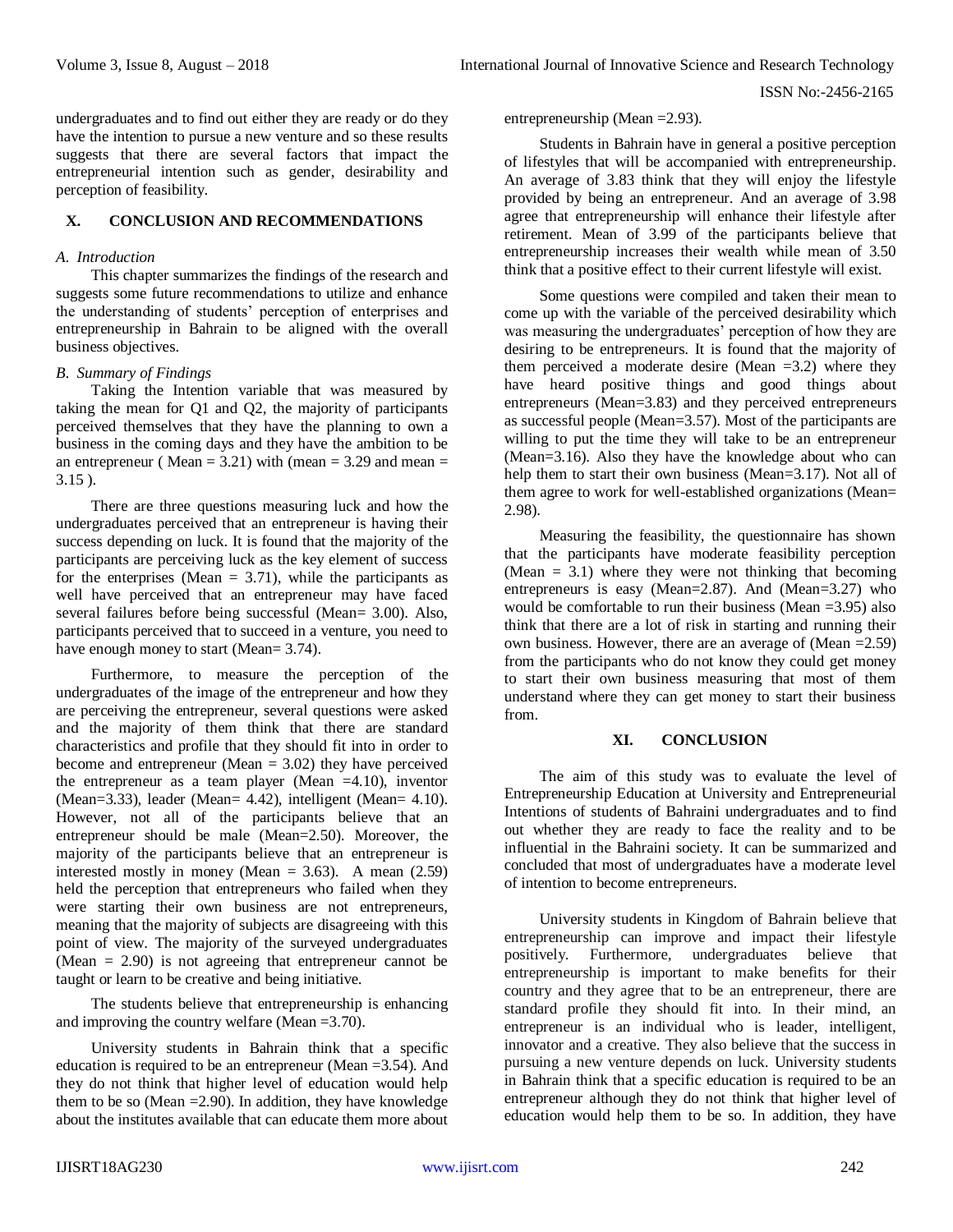ISSN No:-2456-2165

undergraduates and to find out either they are ready or do they have the intention to pursue a new venture and so these results suggests that there are several factors that impact the entrepreneurial intention such as gender, desirability and perception of feasibility.

## **X. CONCLUSION AND RECOMMENDATIONS**

## *A. Introduction*

This chapter summarizes the findings of the research and suggests some future recommendations to utilize and enhance the understanding of students' perception of enterprises and entrepreneurship in Bahrain to be aligned with the overall business objectives.

#### *B. Summary of Findings*

Taking the Intention variable that was measured by taking the mean for Q1 and Q2, the majority of participants perceived themselves that they have the planning to own a business in the coming days and they have the ambition to be an entrepreneur ( $Mean = 3.21$ ) with (mean = 3.29 and mean = 3.15 ).

There are three questions measuring luck and how the undergraduates perceived that an entrepreneur is having their success depending on luck. It is found that the majority of the participants are perceiving luck as the key element of success for the enterprises (Mean  $= 3.71$ ), while the participants as well have perceived that an entrepreneur may have faced several failures before being successful (Mean= 3.00). Also, participants perceived that to succeed in a venture, you need to have enough money to start (Mean= 3.74).

Furthermore, to measure the perception of the undergraduates of the image of the entrepreneur and how they are perceiving the entrepreneur, several questions were asked and the majority of them think that there are standard characteristics and profile that they should fit into in order to become and entrepreneur (Mean  $= 3.02$ ) they have perceived the entrepreneur as a team player (Mean  $=4.10$ ), inventor (Mean=3.33), leader (Mean= 4.42), intelligent (Mean= 4.10). However, not all of the participants believe that an entrepreneur should be male (Mean=2.50). Moreover, the majority of the participants believe that an entrepreneur is interested mostly in money (Mean  $= 3.63$ ). A mean (2.59) held the perception that entrepreneurs who failed when they were starting their own business are not entrepreneurs, meaning that the majority of subjects are disagreeing with this point of view. The majority of the surveyed undergraduates (Mean  $= 2.90$ ) is not agreeing that entrepreneur cannot be taught or learn to be creative and being initiative.

The students believe that entrepreneurship is enhancing and improving the country welfare (Mean =3.70).

University students in Bahrain think that a specific education is required to be an entrepreneur (Mean =3.54). And they do not think that higher level of education would help them to be so (Mean  $=2.90$ ). In addition, they have knowledge about the institutes available that can educate them more about

entrepreneurship (Mean =2.93).

Students in Bahrain have in general a positive perception of lifestyles that will be accompanied with entrepreneurship. An average of 3.83 think that they will enjoy the lifestyle provided by being an entrepreneur. And an average of 3.98 agree that entrepreneurship will enhance their lifestyle after retirement. Mean of 3.99 of the participants believe that entrepreneurship increases their wealth while mean of 3.50 think that a positive effect to their current lifestyle will exist.

Some questions were compiled and taken their mean to come up with the variable of the perceived desirability which was measuring the undergraduates' perception of how they are desiring to be entrepreneurs. It is found that the majority of them perceived a moderate desire (Mean  $=3.2$ ) where they have heard positive things and good things about entrepreneurs (Mean=3.83) and they perceived entrepreneurs as successful people (Mean=3.57). Most of the participants are willing to put the time they will take to be an entrepreneur (Mean=3.16). Also they have the knowledge about who can help them to start their own business (Mean=3.17). Not all of them agree to work for well-established organizations (Mean= 2.98).

Measuring the feasibility, the questionnaire has shown that the participants have moderate feasibility perception (Mean  $= 3.1$ ) where they were not thinking that becoming entrepreneurs is easy (Mean=2.87). And (Mean=3.27) who would be comfortable to run their business (Mean =3.95) also think that there are a lot of risk in starting and running their own business. However, there are an average of (Mean  $=2.59$ ) from the participants who do not know they could get money to start their own business measuring that most of them understand where they can get money to start their business from.

# **XI. CONCLUSION**

The aim of this study was to evaluate the level of Entrepreneurship Education at University and Entrepreneurial Intentions of students of Bahraini undergraduates and to find out whether they are ready to face the reality and to be influential in the Bahraini society. It can be summarized and concluded that most of undergraduates have a moderate level of intention to become entrepreneurs.

University students in Kingdom of Bahrain believe that entrepreneurship can improve and impact their lifestyle positively. Furthermore, undergraduates believe that entrepreneurship is important to make benefits for their country and they agree that to be an entrepreneur, there are standard profile they should fit into. In their mind, an entrepreneur is an individual who is leader, intelligent, innovator and a creative. They also believe that the success in pursuing a new venture depends on luck. University students in Bahrain think that a specific education is required to be an entrepreneur although they do not think that higher level of education would help them to be so. In addition, they have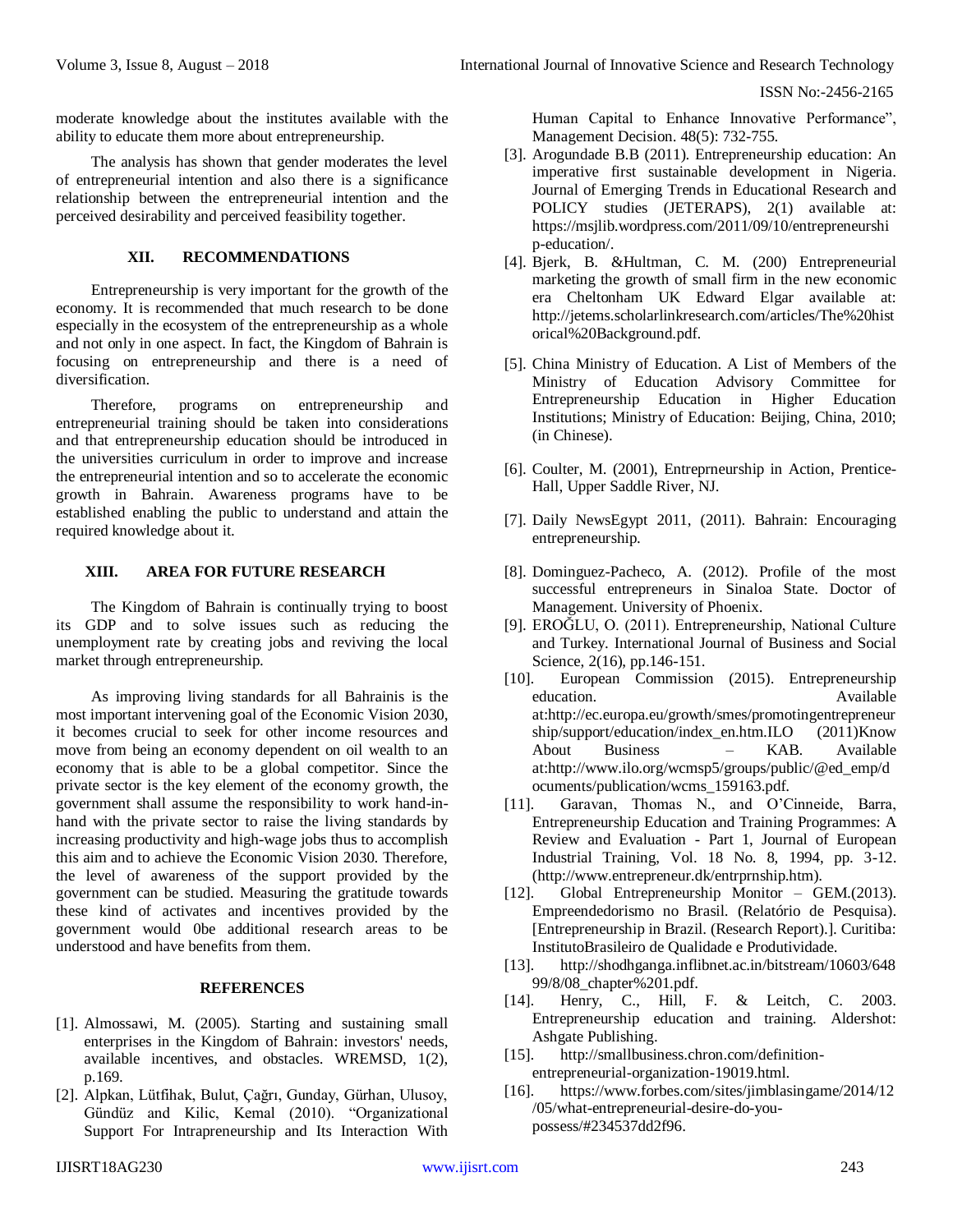ISSN No:-2456-2165

moderate knowledge about the institutes available with the ability to educate them more about entrepreneurship.

The analysis has shown that gender moderates the level of entrepreneurial intention and also there is a significance relationship between the entrepreneurial intention and the perceived desirability and perceived feasibility together.

# **XII. RECOMMENDATIONS**

Entrepreneurship is very important for the growth of the economy. It is recommended that much research to be done especially in the ecosystem of the entrepreneurship as a whole and not only in one aspect. In fact, the Kingdom of Bahrain is focusing on entrepreneurship and there is a need of diversification.

Therefore, programs on entrepreneurship and entrepreneurial training should be taken into considerations and that entrepreneurship education should be introduced in the universities curriculum in order to improve and increase the entrepreneurial intention and so to accelerate the economic growth in Bahrain. Awareness programs have to be established enabling the public to understand and attain the required knowledge about it.

#### **XIII. AREA FOR FUTURE RESEARCH**

The Kingdom of Bahrain is continually trying to boost its GDP and to solve issues such as reducing the unemployment rate by creating jobs and reviving the local market through entrepreneurship.

As improving living standards for all Bahrainis is the most important intervening goal of the Economic Vision 2030, it becomes crucial to seek for other income resources and move from being an economy dependent on oil wealth to an economy that is able to be a global competitor. Since the private sector is the key element of the economy growth, the government shall assume the responsibility to work hand-inhand with the private sector to raise the living standards by increasing productivity and high-wage jobs thus to accomplish this aim and to achieve the Economic Vision 2030. Therefore, the level of awareness of the support provided by the government can be studied. Measuring the gratitude towards these kind of activates and incentives provided by the government would 0be additional research areas to be understood and have benefits from them.

# **REFERENCES**

- [1]. Almossawi, M. (2005). Starting and sustaining small enterprises in the Kingdom of Bahrain: investors' needs, available incentives, and obstacles. WREMSD, 1(2), p.169.
- [2]. Alpkan, Lütfihak, Bulut, Çağrı, Gunday, Gürhan, Ulusoy, Gündüz and Kilic, Kemal (2010). "Organizational Support For Intrapreneurship and Its Interaction With

Human Capital to Enhance Innovative Performance", Management Decision. 48(5): 732-755.

- [3]. Arogundade B.B (2011). Entrepreneurship education: An imperative first sustainable development in Nigeria. Journal of Emerging Trends in Educational Research and POLICY studies (JETERAPS), 2(1) available at: [https://msjlib.wordpress.com/2011/09/10/entrepreneurshi](https://msjlib.wordpress.com/2011/09/10/entrepreneurship-education/) [p-education/.](https://msjlib.wordpress.com/2011/09/10/entrepreneurship-education/)
- [4]. Bjerk, B. &Hultman, C. M. (200) Entrepreneurial marketing the growth of small firm in the new economic era Cheltonham UK Edward Elgar available at: [http://jetems.scholarlinkresearch.com/articles/The%20hist](http://jetems.scholarlinkresearch.com/articles/The%20historical%20Background.pdf) [orical%20Background.pdf.](http://jetems.scholarlinkresearch.com/articles/The%20historical%20Background.pdf)
- [5]. China Ministry of Education. A List of Members of the Ministry of Education Advisory Committee for Entrepreneurship Education in Higher Education Institutions; Ministry of Education: Beijing, China, 2010; (in Chinese).
- [6]. Coulter, M. (2001), Entreprneurship in Action, Prentice-Hall, Upper Saddle River, NJ.
- [7]. Daily NewsEgypt 2011, (2011). Bahrain: Encouraging entrepreneurship.
- [8]. Dominguez-Pacheco, A. (2012). Profile of the most successful entrepreneurs in Sinaloa State. Doctor of Management. University of Phoenix.
- [9]. EROĞLU, O. (2011). Entrepreneurship, National Culture and Turkey. International Journal of Business and Social Science, 2(16), pp.146-151.
- [10]. European Commission (2015). Entrepreneurship education. Available **Available** at:http://ec.europa.eu/growth/smes/promotingentrepreneur ship/support/education/index\_en.htm.ILO (2011)Know About Business – KAB. Available at:http://www.ilo.org/wcmsp5/groups/public/@ed\_emp/d ocuments/publication/wcms\_159163.pdf.
- [11]. Garavan, Thomas N., and O'Cinneide, Barra, Entrepreneurship Education and Training Programmes: A Review and Evaluation - Part 1, Journal of European Industrial Training, Vol. 18 No. 8, 1994, pp. 3-12. (http://www.entrepreneur.dk/entrprnship.htm).
- [12]. Global Entrepreneurship Monitor GEM.(2013). Empreendedorismo no Brasil. (Relatório de Pesquisa). [Entrepreneurship in Brazil. (Research Report).]. Curitiba: InstitutoBrasileiro de Qualidade e Produtividade.
- [13]. [http://shodhganga.inflibnet.ac.in/bitstream/10603/648](http://shodhganga.inflibnet.ac.in/bitstream/10603/64899/8/08_chapter%201.pdf) [99/8/08\\_chapter%201.pdf.](http://shodhganga.inflibnet.ac.in/bitstream/10603/64899/8/08_chapter%201.pdf)
- [14]. Henry, C., Hill, F. & Leitch, C. 2003. Entrepreneurship education and training. Aldershot: Ashgate Publishing.
- [15]. [http://smallbusiness.chron.com/definition](http://smallbusiness.chron.com/definition-entrepreneurial-organization-19019.html)[entrepreneurial-organization-19019.html.](http://smallbusiness.chron.com/definition-entrepreneurial-organization-19019.html)
- [16]. [https://www.forbes.com/sites/jimblasingame/2014/12](https://www.forbes.com/sites/jimblasingame/2014/12/05/what-entrepreneurial-desire-do-you-possess/#234537dd2f96) [/05/what-entrepreneurial-desire-do-you](https://www.forbes.com/sites/jimblasingame/2014/12/05/what-entrepreneurial-desire-do-you-possess/#234537dd2f96)[possess/#234537dd2f96.](https://www.forbes.com/sites/jimblasingame/2014/12/05/what-entrepreneurial-desire-do-you-possess/#234537dd2f96)